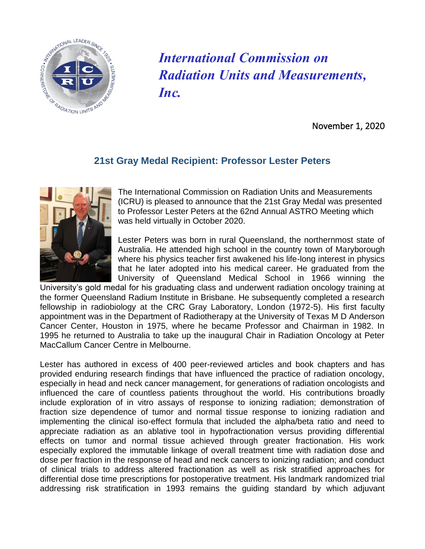

*International Commission on Radiation Units and Measurements, Inc.*

November 1, 2020

## **21st Gray Medal Recipient: Professor Lester Peters**



The International Commission on Radiation Units and Measurements (ICRU) is pleased to announce that the 21st Gray Medal was presented to Professor Lester Peters at the 62nd Annual ASTRO Meeting which was held virtually in October 2020.

Lester Peters was born in rural Queensland, the northernmost state of Australia. He attended high school in the country town of Maryborough where his physics teacher first awakened his life-long interest in physics that he later adopted into his medical career. He graduated from the University of Queensland Medical School in 1966 winning the

University's gold medal for his graduating class and underwent radiation oncology training at the former Queensland Radium Institute in Brisbane. He subsequently completed a research fellowship in radiobiology at the CRC Gray Laboratory, London (1972-5). His first faculty appointment was in the Department of Radiotherapy at the University of Texas M D Anderson Cancer Center, Houston in 1975, where he became Professor and Chairman in 1982. In 1995 he returned to Australia to take up the inaugural Chair in Radiation Oncology at Peter MacCallum Cancer Centre in Melbourne.

Lester has authored in excess of 400 peer-reviewed articles and book chapters and has provided enduring research findings that have influenced the practice of radiation oncology, especially in head and neck cancer management, for generations of radiation oncologists and influenced the care of countless patients throughout the world. His contributions broadly include exploration of in vitro assays of response to ionizing radiation; demonstration of fraction size dependence of tumor and normal tissue response to ionizing radiation and implementing the clinical iso-effect formula that included the alpha/beta ratio and need to appreciate radiation as an ablative tool in hypofractionation versus providing differential effects on tumor and normal tissue achieved through greater fractionation. His work especially explored the immutable linkage of overall treatment time with radiation dose and dose per fraction in the response of head and neck cancers to ionizing radiation; and conduct of clinical trials to address altered fractionation as well as risk stratified approaches for differential dose time prescriptions for postoperative treatment. His landmark randomized trial addressing risk stratification in 1993 remains the guiding standard by which adjuvant